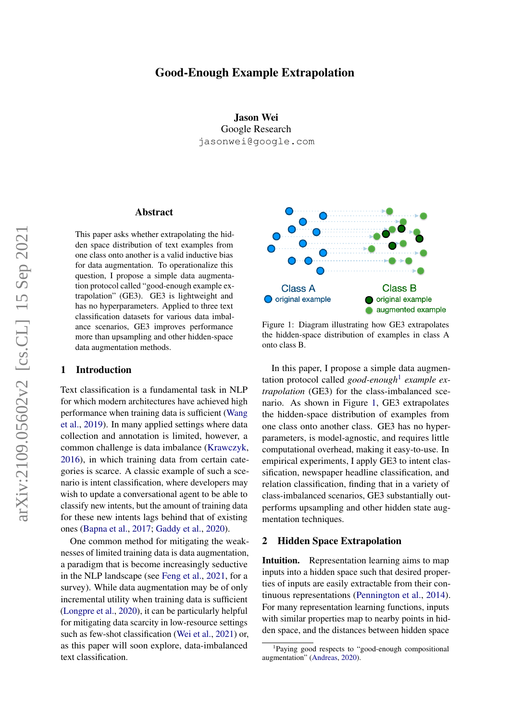# Good-Enough Example Extrapolation

Jason Wei Google Research jasonwei@google.com

## Abstract

This paper asks whether extrapolating the hidden space distribution of text examples from one class onto another is a valid inductive bias for data augmentation. To operationalize this question, I propose a simple data augmentation protocol called "good-enough example extrapolation" (GE3). GE3 is lightweight and has no hyperparameters. Applied to three text classification datasets for various data imbalance scenarios, GE3 improves performance more than upsampling and other hidden-space data augmentation methods.

### 1 Introduction

Text classification is a fundamental task in NLP for which modern architectures have achieved high performance when training data is sufficient [\(Wang](#page-5-0) [et al.,](#page-5-0) [2019\)](#page-5-0). In many applied settings where data collection and annotation is limited, however, a common challenge is data imbalance [\(Krawczyk,](#page-5-1) [2016\)](#page-5-1), in which training data from certain categories is scarce. A classic example of such a scenario is intent classification, where developers may wish to update a conversational agent to be able to classify new intents, but the amount of training data for these new intents lags behind that of existing ones [\(Bapna et al.,](#page-4-0) [2017;](#page-4-0) [Gaddy et al.,](#page-4-1) [2020\)](#page-4-1).

One common method for mitigating the weaknesses of limited training data is data augmentation, a paradigm that is become increasingly seductive in the NLP landscape (see [Feng et al.,](#page-4-2) [2021,](#page-4-2) for a survey). While data augmentation may be of only incremental utility when training data is sufficient [\(Longpre et al.,](#page-5-2) [2020\)](#page-5-2), it can be particularly helpful for mitigating data scarcity in low-resource settings such as few-shot classification [\(Wei et al.,](#page-5-3) [2021\)](#page-5-3) or, as this paper will soon explore, data-imbalanced text classification.

<span id="page-0-1"></span>

Figure 1: Diagram illustrating how GE3 extrapolates the hidden-space distribution of examples in class A onto class B.

In this paper, I propose a simple data augmentation protocol called *good-enough*[1](#page-0-0) *example extrapolation* (GE3) for the class-imbalanced scenario. As shown in Figure [1,](#page-0-1) GE3 extrapolates the hidden-space distribution of examples from one class onto another class. GE3 has no hyperparameters, is model-agnostic, and requires little computational overhead, making it easy-to-use. In empirical experiments, I apply GE3 to intent classification, newspaper headline classification, and relation classification, finding that in a variety of class-imbalanced scenarios, GE3 substantially outperforms upsampling and other hidden state augmentation techniques.

### 2 Hidden Space Extrapolation

Intuition. Representation learning aims to map inputs into a hidden space such that desired properties of inputs are easily extractable from their continuous representations [\(Pennington et al.,](#page-5-4) [2014\)](#page-5-4). For many representation learning functions, inputs with similar properties map to nearby points in hidden space, and the distances between hidden space

<span id="page-0-0"></span><sup>1</sup> Paying good respects to "good-enough compositional augmentation" [\(Andreas,](#page-4-3) [2020\)](#page-4-3).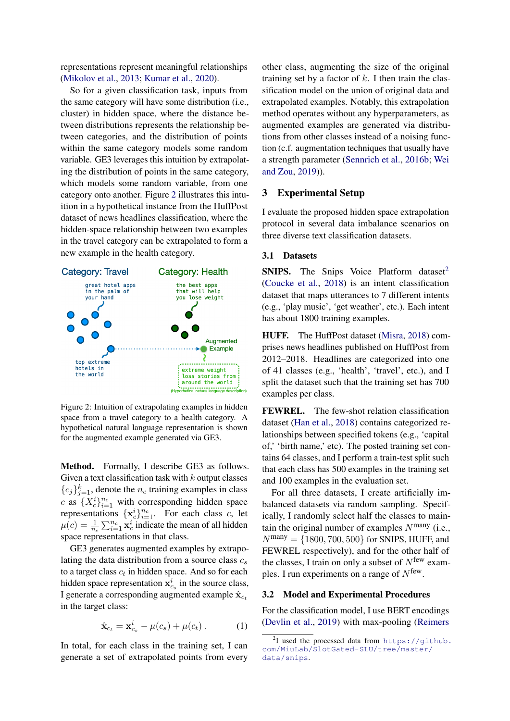representations represent meaningful relationships [\(Mikolov et al.,](#page-5-5) [2013;](#page-5-5) [Kumar et al.,](#page-5-6) [2020\)](#page-5-6).

So for a given classification task, inputs from the same category will have some distribution (i.e., cluster) in hidden space, where the distance between distributions represents the relationship between categories, and the distribution of points within the same category models some random variable. GE3 leverages this intuition by extrapolating the distribution of points in the same category, which models some random variable, from one category onto another. Figure [2](#page-1-0) illustrates this intuition in a hypothetical instance from the HuffPost dataset of news headlines classification, where the hidden-space relationship between two examples in the travel category can be extrapolated to form a new example in the health category.

<span id="page-1-0"></span>

Figure 2: Intuition of extrapolating examples in hidden space from a travel category to a health category. A hypothetical natural language representation is shown for the augmented example generated via GE3.

Method. Formally, I describe GE3 as follows. Given a text classification task with  $k$  output classes  ${c_j}_{j=1}^k$ , denote the  $n_c$  training examples in class c as  $\{X_c^i\}_{i=1}^{n_c}$  with corresponding hidden space representations  $\{x_c^i\}_{i=1}^{n_c}$ . For each class c, let  $\mu(c) = \frac{1}{n_c} \sum_{i=1}^{n_c} \mathbf{x}_c^i$  indicate the mean of all hidden space representations in that class.

GE3 generates augmented examples by extrapolating the data distribution from a source class  $c_s$ to a target class  $c_t$  in hidden space. And so for each hidden space representation  $x_{c_s}^i$  in the source class, I generate a corresponding augmented example  $\hat{\mathbf{x}}_{c_t}$ in the target class:

$$
\hat{\mathbf{x}}_{c_t} = \mathbf{x}_{c_s}^i - \mu(c_s) + \mu(c_t) . \tag{1}
$$

In total, for each class in the training set, I can generate a set of extrapolated points from every other class, augmenting the size of the original training set by a factor of  $k$ . I then train the classification model on the union of original data and extrapolated examples. Notably, this extrapolation method operates without any hyperparameters, as augmented examples are generated via distributions from other classes instead of a noising function (c.f. augmentation techniques that usually have a strength parameter [\(Sennrich et al.,](#page-5-7) [2016b;](#page-5-7) [Wei](#page-5-8) [and Zou,](#page-5-8) [2019\)](#page-5-8)).

### 3 Experimental Setup

I evaluate the proposed hidden space extrapolation protocol in several data imbalance scenarios on three diverse text classification datasets.

#### 3.1 Datasets

**SNIPS.** The Snips Voice Platform dataset<sup>[2](#page-1-1)</sup> [\(Coucke et al.,](#page-4-4) [2018\)](#page-4-4) is an intent classification dataset that maps utterances to 7 different intents (e.g., 'play music', 'get weather', etc.). Each intent has about 1800 training examples.

HUFF. The HuffPost dataset [\(Misra,](#page-5-9) [2018\)](#page-5-9) comprises news headlines published on HuffPost from 2012–2018. Headlines are categorized into one of 41 classes (e.g., 'health', 'travel', etc.), and I split the dataset such that the training set has 700 examples per class.

FEWREL. The few-shot relation classification dataset [\(Han et al.,](#page-4-5) [2018\)](#page-4-5) contains categorized relationships between specified tokens (e.g., 'capital of,' 'birth name,' etc). The posted training set contains 64 classes, and I perform a train-test split such that each class has 500 examples in the training set and 100 examples in the evaluation set.

For all three datasets, I create artificially imbalanced datasets via random sampling. Specifically, I randomly select half the classes to maintain the original number of examples  $N<sup>many</sup>$  (i.e.,  $N^{\text{many}} = \{1800, 700, 500\}$  for SNIPS, HUFF, and FEWREL respectively), and for the other half of the classes, I train on only a subset of  $N^{few}$  examples. I run experiments on a range of  $N^{\text{few}}$ .

## 3.2 Model and Experimental Procedures

For the classification model, I use BERT encodings [\(Devlin et al.,](#page-4-6) [2019\)](#page-4-6) with max-pooling [\(Reimers](#page-5-10)

<span id="page-1-1"></span><sup>&</sup>lt;sup>2</sup>[I used the processed data from](#page-5-10) [https://github.](https://github.com/MiuLab/SlotGated-SLU/tree/master/data/snips) [com/MiuLab/SlotGated-SLU/tree/master/](#page-5-10) [data/snips](#page-5-10).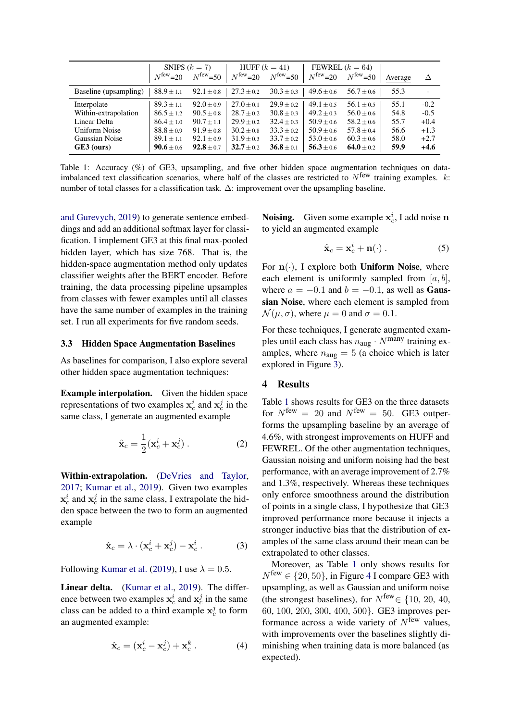<span id="page-2-0"></span>

|                       | SNIPS $(k = 7)$       |                      | HUFF $(k = 41)$     |                      | FEWREL $(k = 64)$   |                      |         |        |
|-----------------------|-----------------------|----------------------|---------------------|----------------------|---------------------|----------------------|---------|--------|
|                       | $N^{\text{few}}=20$   | $N^{\text{few}}$ =50 | $N^{\text{few}}=20$ | $N^{\text{few}}$ =50 | $N^{\text{few}}=20$ | $N^{\text{few}}$ =50 | Average | Δ      |
| Baseline (upsampling) | $88.9 \pm 1.1$        | $92.1 \pm 0.8$       | $27.3 \pm 0.2$      | $30.3 \pm 0.3$       | $49.6 \pm 0.6$      | $56.7 \pm 0.6$       | 55.3    |        |
| Interpolate           | $89.3 \pm 1.1$        | $92.0 \pm 0.9$       | $27.0 \pm 0.1$      | $29.9 \pm 0.2$       | $49.1 \pm 0.5$      | $56.1 \pm 0.5$       | 55.1    | $-0.2$ |
| Within-extrapolation  | $86.5 \pm 1.2$        | $90.5 \pm 0.8$       | $28.7 \pm 0.2$      | $30.8 \pm 0.3$       | $49.2 \pm 0.3$      | $56.0 \pm 0.6$       | 54.8    | $-0.5$ |
| Linear Delta          | $86.4 \pm 1.0$        | $90.7 \pm 1.1$       | $29.9 \pm 0.2$      | $32.4 \pm 0.3$       | $50.9 \pm 0.6$      | $58.2 \pm 0.6$       | 55.7    | $+0.4$ |
| Uniform Noise         | $88.8 \pm 0.9$        | $91.9 \pm 0.8$       | $30.2 \pm 0.8$      | $33.3 \pm 0.2$       | $50.9 \pm 0.6$      | $57.8 \pm 0.4$       | 56.6    | $+1.3$ |
| Gaussian Noise        | $89.1 \pm 1.1$        | $92.1 \pm 0.9$       | $31.9 \pm 0.3$      | $33.7 \pm 0.2$       | $53.0 \pm 0.6$      | $60.3 \pm 0.6$       | 58.0    | $+2.7$ |
| GE3 (ours)            | <b>90.6</b> $\pm$ 0.6 | $92.8 \pm 0.7$       | $32.7 \pm 0.2$      | $36.8 \pm 0.1$       | $56.3 \pm 0.6$      | 64.0 $\pm$ 0.2       | 59.9    | $+4.6$ |

Table 1: Accuracy (%) of GE3, upsampling, and five other hidden space augmentation techniques on dataimbalanced text classification scenarios, where half of the classes are restricted to  $N^{\text{few}}$  training examples.  $k$ : number of total classes for a classification task. ∆: improvement over the upsampling baseline.

[and Gurevych,](#page-5-10) [2019\)](#page-5-10) to generate sentence embeddings and add an additional softmax layer for classification. I implement GE3 at this final max-pooled hidden layer, which has size 768. That is, the hidden-space augmentation method only updates classifier weights after the BERT encoder. Before training, the data processing pipeline upsamples from classes with fewer examples until all classes have the same number of examples in the training set. I run all experiments for five random seeds.

#### 3.3 Hidden Space Augmentation Baselines

As baselines for comparison, I also explore several other hidden space augmentation techniques:

Example interpolation. Given the hidden space representations of two examples  $x_c^i$  and  $x_c^j$  in the same class, I generate an augmented example

$$
\hat{\mathbf{x}}_c = \frac{1}{2} (\mathbf{x}_c^i + \mathbf{x}_c^j) \,. \tag{2}
$$

Within-extrapolation. [\(DeVries and Taylor,](#page-4-7) [2017;](#page-4-7) [Kumar et al.,](#page-5-11) [2019\)](#page-5-11). Given two examples  $\mathbf{x}_c^i$  and  $\mathbf{x}_c^j$  in the same class, I extrapolate the hidden space between the two to form an augmented example

$$
\hat{\mathbf{x}}_c = \lambda \cdot (\mathbf{x}_c^i + \mathbf{x}_c^j) - \mathbf{x}_c^i. \tag{3}
$$

Following [Kumar et al.](#page-5-11) [\(2019\)](#page-5-11), I use  $\lambda = 0.5$ .

Linear delta. [\(Kumar et al.,](#page-5-11) [2019\)](#page-5-11). The difference between two examples  $x_c^i$  and  $x_c^j$  in the same class can be added to a third example  $x_c^j$  to form an augmented example:

$$
\hat{\mathbf{x}}_c = (\mathbf{x}_c^i - \mathbf{x}_c^j) + \mathbf{x}_c^k . \tag{4}
$$

**Noising.** Given some example  $x_c^i$ , I add noise n to yield an augmented example

$$
\hat{\mathbf{x}}_c = \mathbf{x}_c^i + \mathbf{n}(\cdot) \,. \tag{5}
$$

For  $n(.)$ , I explore both Uniform Noise, where each element is uniformly sampled from  $[a, b]$ , where  $a = -0.1$  and  $b = -0.1$ , as well as **Gaus**sian Noise, where each element is sampled from  $\mathcal{N}(\mu, \sigma)$ , where  $\mu = 0$  and  $\sigma = 0.1$ .

For these techniques, I generate augmented examples until each class has  $n_{\text{aug}} \cdot N^{\text{many}}$  training examples, where  $n_{\text{aug}} = 5$  (a choice which is later explored in Figure [3\)](#page-3-0).

### 4 Results

Table [1](#page-2-0) shows results for GE3 on the three datasets for  $N^{\text{few}} = 20$  and  $N^{\text{few}} = 50$ . GE3 outperforms the upsampling baseline by an average of 4.6%, with strongest improvements on HUFF and FEWREL. Of the other augmentation techniques, Gaussian noising and uniform noising had the best performance, with an average improvement of 2.7% and 1.3%, respectively. Whereas these techniques only enforce smoothness around the distribution of points in a single class, I hypothesize that GE3 improved performance more because it injects a stronger inductive bias that the distribution of examples of the same class around their mean can be extrapolated to other classes.

Moreover, as Table [1](#page-2-0) only shows results for  $N^{\text{few}} \in \{20, 50\}$ , in Figure [4](#page-3-1) I compare GE3 with upsampling, as well as Gaussian and uniform noise (the strongest baselines), for  $N^{\text{few}} \in \{10, 20, 40,$ 60, 100, 200, 300, 400, 500}. GE3 improves performance across a wide variety of  $N^{\text{few}}$  values, with improvements over the baselines slightly diminishing when training data is more balanced (as expected).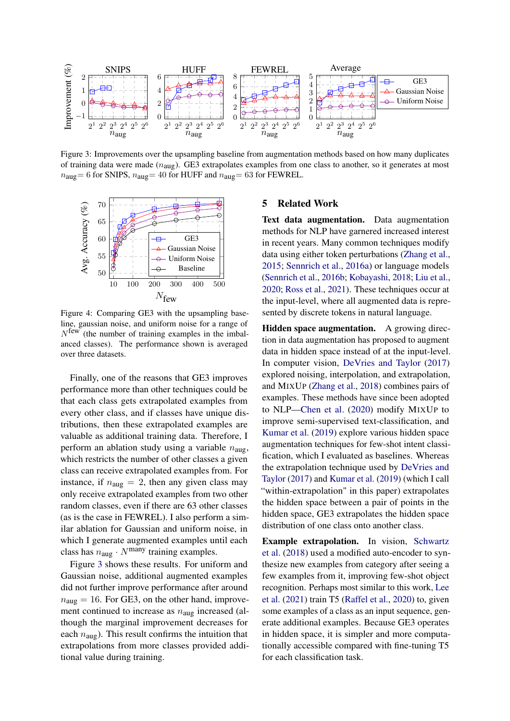<span id="page-3-0"></span>

Figure 3: Improvements over the upsampling baseline from augmentation methods based on how many duplicates of training data were made  $(n_{\text{aug}})$ . GE3 extrapolates examples from one class to another, so it generates at most  $n_{\text{aug}}= 6$  for SNIPS,  $n_{\text{aug}}= 40$  for HUFF and  $n_{\text{aug}}= 63$  for FEWREL.

<span id="page-3-1"></span>

Figure 4: Comparing GE3 with the upsampling baseline, gaussian noise, and uniform noise for a range of  $N^{\text{few}}$  (the number of training examples in the imbalanced classes). The performance shown is averaged over three datasets.

Finally, one of the reasons that GE3 improves performance more than other techniques could be that each class gets extrapolated examples from every other class, and if classes have unique distributions, then these extrapolated examples are valuable as additional training data. Therefore, I perform an ablation study using a variable  $n_{\text{aug}}$ , which restricts the number of other classes a given class can receive extrapolated examples from. For instance, if  $n_{\text{aug}} = 2$ , then any given class may only receive extrapolated examples from two other random classes, even if there are 63 other classes (as is the case in FEWREL). I also perform a similar ablation for Gaussian and uniform noise, in which I generate augmented examples until each class has  $n_{\text{aug}} \cdot N^{\text{many}}$  training examples.

Figure [3](#page-3-0) shows these results. For uniform and Gaussian noise, additional augmented examples did not further improve performance after around  $n_{\text{aug}} = 16$ . For GE3, on the other hand, improvement continued to increase as  $n_{\text{aug}}$  increased (although the marginal improvement decreases for each  $n_{\text{aug}}$ ). This result confirms the intuition that extrapolations from more classes provided additional value during training.

#### 5 Related Work

Text data augmentation. Data augmentation methods for NLP have garnered increased interest in recent years. Many common techniques modify data using either token perturbations [\(Zhang et al.,](#page-6-0) [2015;](#page-6-0) [Sennrich et al.,](#page-5-12) [2016a\)](#page-5-12) or language models [\(Sennrich et al.,](#page-5-7) [2016b;](#page-5-7) [Kobayashi,](#page-5-13) [2018;](#page-5-13) [Liu et al.,](#page-5-14) [2020;](#page-5-14) [Ross et al.,](#page-5-15) [2021\)](#page-5-15). These techniques occur at the input-level, where all augmented data is represented by discrete tokens in natural language.

Hidden space augmentation. A growing direction in data augmentation has proposed to augment data in hidden space instead of at the input-level. In computer vision, [DeVries and Taylor](#page-4-7) [\(2017\)](#page-4-7) explored noising, interpolation, and extrapolation, and MIXUP [\(Zhang et al.,](#page-6-1) [2018\)](#page-6-1) combines pairs of examples. These methods have since been adopted to NLP[—Chen et al.](#page-4-8) [\(2020\)](#page-4-8) modify MIXUP to improve semi-supervised text-classification, and [Kumar et al.](#page-5-11) [\(2019\)](#page-5-11) explore various hidden space augmentation techniques for few-shot intent classification, which I evaluated as baselines. Whereas the extrapolation technique used by [DeVries and](#page-4-7) [Taylor](#page-4-7) [\(2017\)](#page-4-7) and [Kumar et al.](#page-5-11) [\(2019\)](#page-5-11) (which I call "within-extrapolation" in this paper) extrapolates the hidden space between a pair of points in the hidden space, GE3 extrapolates the hidden space distribution of one class onto another class.

Example extrapolation. In vision, [Schwartz](#page-5-16) [et al.](#page-5-16) [\(2018\)](#page-5-16) used a modified auto-encoder to synthesize new examples from category after seeing a few examples from it, improving few-shot object recognition. Perhaps most similar to this work, [Lee](#page-5-17) [et al.](#page-5-17) [\(2021\)](#page-5-17) train T5 [\(Raffel et al.,](#page-5-18) [2020\)](#page-5-18) to, given some examples of a class as an input sequence, generate additional examples. Because GE3 operates in hidden space, it is simpler and more computationally accessible compared with fine-tuning T5 for each classification task.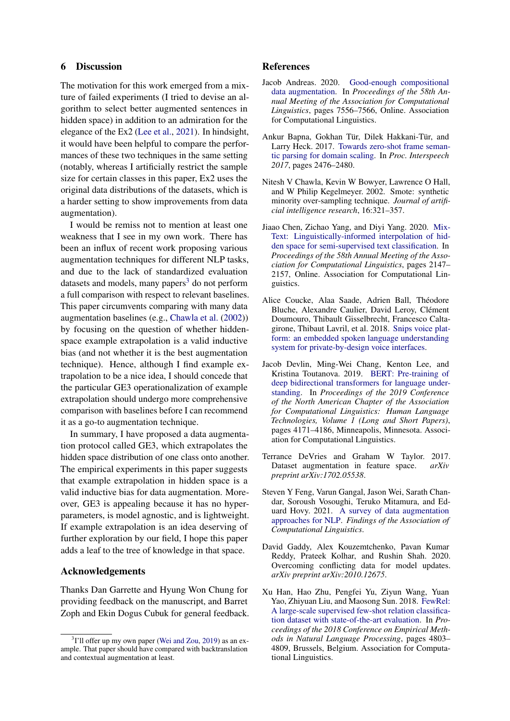# 6 Discussion

The motivation for this work emerged from a mixture of failed experiments (I tried to devise an algorithm to select better augmented sentences in hidden space) in addition to an admiration for the elegance of the Ex2 [\(Lee et al.,](#page-5-17) [2021\)](#page-5-17). In hindsight, it would have been helpful to compare the performances of these two techniques in the same setting (notably, whereas I artificially restrict the sample size for certain classes in this paper, Ex2 uses the original data distributions of the datasets, which is a harder setting to show improvements from data augmentation).

I would be remiss not to mention at least one weakness that I see in my own work. There has been an influx of recent work proposing various augmentation techniques for different NLP tasks, and due to the lack of standardized evaluation datasets and models, many papers<sup>[3](#page-4-9)</sup> do not perform a full comparison with respect to relevant baselines. This paper circumvents comparing with many data augmentation baselines (e.g., [Chawla et al.](#page-4-10) [\(2002\)](#page-4-10)) by focusing on the question of whether hiddenspace example extrapolation is a valid inductive bias (and not whether it is the best augmentation technique). Hence, although I find example extrapolation to be a nice idea, I should concede that the particular GE3 operationalization of example extrapolation should undergo more comprehensive comparison with baselines before I can recommend it as a go-to augmentation technique.

In summary, I have proposed a data augmentation protocol called GE3, which extrapolates the hidden space distribution of one class onto another. The empirical experiments in this paper suggests that example extrapolation in hidden space is a valid inductive bias for data augmentation. Moreover, GE3 is appealing because it has no hyperparameters, is model agnostic, and is lightweight. If example extrapolation is an idea deserving of further exploration by our field, I hope this paper adds a leaf to the tree of knowledge in that space.

### Acknowledgements

Thanks Dan Garrette and Hyung Won Chung for providing feedback on the manuscript, and Barret Zoph and Ekin Dogus Cubuk for general feedback.

#### References

- <span id="page-4-3"></span>Jacob Andreas. 2020. [Good-enough compositional](https://doi.org/10.18653/v1/2020.acl-main.676) [data augmentation.](https://doi.org/10.18653/v1/2020.acl-main.676) In *Proceedings of the 58th Annual Meeting of the Association for Computational Linguistics*, pages 7556–7566, Online. Association for Computational Linguistics.
- <span id="page-4-0"></span>Ankur Bapna, Gokhan Tür, Dilek Hakkani-Tür, and Larry Heck. 2017. [Towards zero-shot frame seman](https://doi.org/10.21437/Interspeech.2017-518)[tic parsing for domain scaling.](https://doi.org/10.21437/Interspeech.2017-518) In *Proc. Interspeech 2017*, pages 2476–2480.
- <span id="page-4-10"></span>Nitesh V Chawla, Kevin W Bowyer, Lawrence O Hall, and W Philip Kegelmeyer. 2002. Smote: synthetic minority over-sampling technique. *Journal of artificial intelligence research*, 16:321–357.
- <span id="page-4-8"></span>Jiaao Chen, Zichao Yang, and Diyi Yang. 2020. [Mix-](https://doi.org/10.18653/v1/2020.acl-main.194)[Text: Linguistically-informed interpolation of hid](https://doi.org/10.18653/v1/2020.acl-main.194)[den space for semi-supervised text classification.](https://doi.org/10.18653/v1/2020.acl-main.194) In *Proceedings of the 58th Annual Meeting of the Association for Computational Linguistics*, pages 2147– 2157, Online. Association for Computational Linguistics.
- <span id="page-4-4"></span>Alice Coucke, Alaa Saade, Adrien Ball, Théodore Bluche, Alexandre Caulier, David Leroy, Clément Doumouro, Thibault Gisselbrecht, Francesco Caltagirone, Thibaut Lavril, et al. 2018. [Snips voice plat](https://arxiv.org/abs/1805.10190)[form: an embedded spoken language understanding](https://arxiv.org/abs/1805.10190) [system for private-by-design voice interfaces.](https://arxiv.org/abs/1805.10190)
- <span id="page-4-6"></span>Jacob Devlin, Ming-Wei Chang, Kenton Lee, and Kristina Toutanova. 2019. [BERT: Pre-training of](https://doi.org/10.18653/v1/N19-1423) [deep bidirectional transformers for language under](https://doi.org/10.18653/v1/N19-1423)[standing.](https://doi.org/10.18653/v1/N19-1423) In *Proceedings of the 2019 Conference of the North American Chapter of the Association for Computational Linguistics: Human Language Technologies, Volume 1 (Long and Short Papers)*, pages 4171–4186, Minneapolis, Minnesota. Association for Computational Linguistics.
- <span id="page-4-7"></span>Terrance DeVries and Graham W Taylor. 2017. Dataset augmentation in feature space. *arXiv preprint arXiv:1702.05538*.
- <span id="page-4-2"></span>Steven Y Feng, Varun Gangal, Jason Wei, Sarath Chandar, Soroush Vosoughi, Teruko Mitamura, and Eduard Hovy. 2021. [A survey of data augmentation](https://arxiv.org/abs/2105.03075) [approaches for NLP.](https://arxiv.org/abs/2105.03075) *Findings of the Association of Computational Linguistics*.
- <span id="page-4-1"></span>David Gaddy, Alex Kouzemtchenko, Pavan Kumar Reddy, Prateek Kolhar, and Rushin Shah. 2020. Overcoming conflicting data for model updates. *arXiv preprint arXiv:2010.12675*.
- <span id="page-4-5"></span>Xu Han, Hao Zhu, Pengfei Yu, Ziyun Wang, Yuan Yao, Zhiyuan Liu, and Maosong Sun. 2018. [FewRel:](https://doi.org/10.18653/v1/D18-1514) [A large-scale supervised few-shot relation classifica](https://doi.org/10.18653/v1/D18-1514)[tion dataset with state-of-the-art evaluation.](https://doi.org/10.18653/v1/D18-1514) In *Proceedings of the 2018 Conference on Empirical Methods in Natural Language Processing*, pages 4803– 4809, Brussels, Belgium. Association for Computational Linguistics.

<span id="page-4-9"></span><sup>&</sup>lt;sup>3</sup>I'll offer up my own paper [\(Wei and Zou,](#page-5-8) [2019\)](#page-5-8) as an example. That paper should have compared with backtranslation and contextual augmentation at least.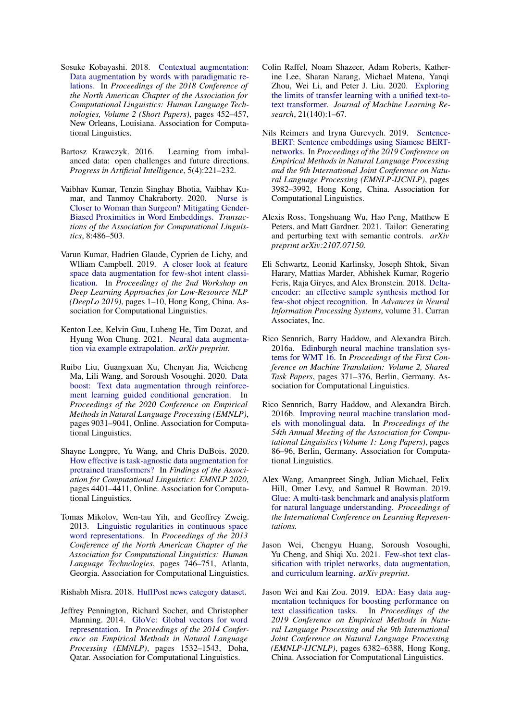- <span id="page-5-13"></span>Sosuke Kobayashi. 2018. [Contextual augmentation:](https://doi.org/10.18653/v1/N18-2072) [Data augmentation by words with paradigmatic re](https://doi.org/10.18653/v1/N18-2072)[lations.](https://doi.org/10.18653/v1/N18-2072) In *Proceedings of the 2018 Conference of the North American Chapter of the Association for Computational Linguistics: Human Language Technologies, Volume 2 (Short Papers)*, pages 452–457, New Orleans, Louisiana. Association for Computational Linguistics.
- <span id="page-5-1"></span>Bartosz Krawczyk. 2016. Learning from imbalanced data: open challenges and future directions. *Progress in Artificial Intelligence*, 5(4):221–232.
- <span id="page-5-6"></span>Vaibhav Kumar, Tenzin Singhay Bhotia, Vaibhav Kumar, and Tanmoy Chakraborty. 2020. [Nurse is](https://doi.org/10.1162/tacl_a_00327) [Closer to Woman than Surgeon? Mitigating Gender-](https://doi.org/10.1162/tacl_a_00327)[Biased Proximities in Word Embeddings.](https://doi.org/10.1162/tacl_a_00327) *Transactions of the Association for Computational Linguistics*, 8:486–503.
- <span id="page-5-11"></span>Varun Kumar, Hadrien Glaude, Cyprien de Lichy, and Wlliam Campbell. 2019. [A closer look at feature](https://doi.org/10.18653/v1/D19-6101) [space data augmentation for few-shot intent classi](https://doi.org/10.18653/v1/D19-6101)[fication.](https://doi.org/10.18653/v1/D19-6101) In *Proceedings of the 2nd Workshop on Deep Learning Approaches for Low-Resource NLP (DeepLo 2019)*, pages 1–10, Hong Kong, China. Association for Computational Linguistics.
- <span id="page-5-17"></span>Kenton Lee, Kelvin Guu, Luheng He, Tim Dozat, and Hyung Won Chung. 2021. [Neural data augmenta](https://arxiv.org/abs/2102.01335)[tion via example extrapolation.](https://arxiv.org/abs/2102.01335) *arXiv preprint*.
- <span id="page-5-14"></span>Ruibo Liu, Guangxuan Xu, Chenyan Jia, Weicheng Ma, Lili Wang, and Soroush Vosoughi. 2020. [Data](https://doi.org/10.18653/v1/2020.emnlp-main.726) [boost: Text data augmentation through reinforce](https://doi.org/10.18653/v1/2020.emnlp-main.726)[ment learning guided conditional generation.](https://doi.org/10.18653/v1/2020.emnlp-main.726) In *Proceedings of the 2020 Conference on Empirical Methods in Natural Language Processing (EMNLP)*, pages 9031–9041, Online. Association for Computational Linguistics.
- <span id="page-5-2"></span>Shayne Longpre, Yu Wang, and Chris DuBois. 2020. [How effective is task-agnostic data augmentation for](https://doi.org/10.18653/v1/2020.findings-emnlp.394) [pretrained transformers?](https://doi.org/10.18653/v1/2020.findings-emnlp.394) In *Findings of the Association for Computational Linguistics: EMNLP 2020*, pages 4401–4411, Online. Association for Computational Linguistics.
- <span id="page-5-5"></span>Tomas Mikolov, Wen-tau Yih, and Geoffrey Zweig. 2013. [Linguistic regularities in continuous space](https://www.aclweb.org/anthology/N13-1090) [word representations.](https://www.aclweb.org/anthology/N13-1090) In *Proceedings of the 2013 Conference of the North American Chapter of the Association for Computational Linguistics: Human Language Technologies*, pages 746–751, Atlanta, Georgia. Association for Computational Linguistics.

<span id="page-5-9"></span>Rishabh Misra. 2018. [HuffPost news category dataset.](https://doi.org/10.13140/RG.2.2.20331.18729)

<span id="page-5-4"></span>Jeffrey Pennington, Richard Socher, and Christopher Manning. 2014. [GloVe: Global vectors for word](https://doi.org/10.3115/v1/D14-1162) [representation.](https://doi.org/10.3115/v1/D14-1162) In *Proceedings of the 2014 Conference on Empirical Methods in Natural Language Processing (EMNLP)*, pages 1532–1543, Doha, Qatar. Association for Computational Linguistics.

- <span id="page-5-18"></span>Colin Raffel, Noam Shazeer, Adam Roberts, Katherine Lee, Sharan Narang, Michael Matena, Yanqi Zhou, Wei Li, and Peter J. Liu. 2020. [Exploring](http://jmlr.org/papers/v21/20-074.html) [the limits of transfer learning with a unified text-to](http://jmlr.org/papers/v21/20-074.html)[text transformer.](http://jmlr.org/papers/v21/20-074.html) *Journal of Machine Learning Research*, 21(140):1–67.
- <span id="page-5-10"></span>Nils Reimers and Iryna Gurevych. 2019. [Sentence-](https://doi.org/10.18653/v1/D19-1410)[BERT: Sentence embeddings using Siamese BERT](https://doi.org/10.18653/v1/D19-1410)[networks.](https://doi.org/10.18653/v1/D19-1410) In *Proceedings of the 2019 Conference on Empirical Methods in Natural Language Processing and the 9th International Joint Conference on Natural Language Processing (EMNLP-IJCNLP)*, pages 3982–3992, Hong Kong, China. Association for Computational Linguistics.
- <span id="page-5-15"></span>Alexis Ross, Tongshuang Wu, Hao Peng, Matthew E Peters, and Matt Gardner. 2021. Tailor: Generating and perturbing text with semantic controls. *arXiv preprint arXiv:2107.07150*.
- <span id="page-5-16"></span>Eli Schwartz, Leonid Karlinsky, Joseph Shtok, Sivan Harary, Mattias Marder, Abhishek Kumar, Rogerio Feris, Raja Giryes, and Alex Bronstein. 2018. [Delta](https://proceedings.neurips.cc/paper/2018/file/1714726c817af50457d810aae9d27a2e-Paper.pdf)[encoder: an effective sample synthesis method for](https://proceedings.neurips.cc/paper/2018/file/1714726c817af50457d810aae9d27a2e-Paper.pdf) [few-shot object recognition.](https://proceedings.neurips.cc/paper/2018/file/1714726c817af50457d810aae9d27a2e-Paper.pdf) In *Advances in Neural Information Processing Systems*, volume 31. Curran Associates, Inc.
- <span id="page-5-12"></span>Rico Sennrich, Barry Haddow, and Alexandra Birch. 2016a. [Edinburgh neural machine translation sys](https://doi.org/10.18653/v1/W16-2323)[tems for WMT 16.](https://doi.org/10.18653/v1/W16-2323) In *Proceedings of the First Conference on Machine Translation: Volume 2, Shared Task Papers*, pages 371–376, Berlin, Germany. Association for Computational Linguistics.
- <span id="page-5-7"></span>Rico Sennrich, Barry Haddow, and Alexandra Birch. 2016b. [Improving neural machine translation mod](https://doi.org/10.18653/v1/P16-1009)[els with monolingual data.](https://doi.org/10.18653/v1/P16-1009) In *Proceedings of the 54th Annual Meeting of the Association for Computational Linguistics (Volume 1: Long Papers)*, pages 86–96, Berlin, Germany. Association for Computational Linguistics.
- <span id="page-5-0"></span>Alex Wang, Amanpreet Singh, Julian Michael, Felix Hill, Omer Levy, and Samuel R Bowman. 2019. [Glue: A multi-task benchmark and analysis platform](https://arxiv.org/abs/1804.07461) [for natural language understanding.](https://arxiv.org/abs/1804.07461) *Proceedings of the International Conference on Learning Representations.*
- <span id="page-5-3"></span>Jason Wei, Chengyu Huang, Soroush Vosoughi, Yu Cheng, and Shiqi Xu. 2021. [Few-shot text clas](https://arxiv.org/abs/2103.07552)[sification with triplet networks, data augmentation,](https://arxiv.org/abs/2103.07552) [and curriculum learning.](https://arxiv.org/abs/2103.07552) *arXiv preprint*.
- <span id="page-5-8"></span>Jason Wei and Kai Zou. 2019. [EDA: Easy data aug](https://doi.org/10.18653/v1/D19-1670)[mentation techniques for boosting performance on](https://doi.org/10.18653/v1/D19-1670) [text classification tasks.](https://doi.org/10.18653/v1/D19-1670) In *Proceedings of the 2019 Conference on Empirical Methods in Natural Language Processing and the 9th International Joint Conference on Natural Language Processing (EMNLP-IJCNLP)*, pages 6382–6388, Hong Kong, China. Association for Computational Linguistics.